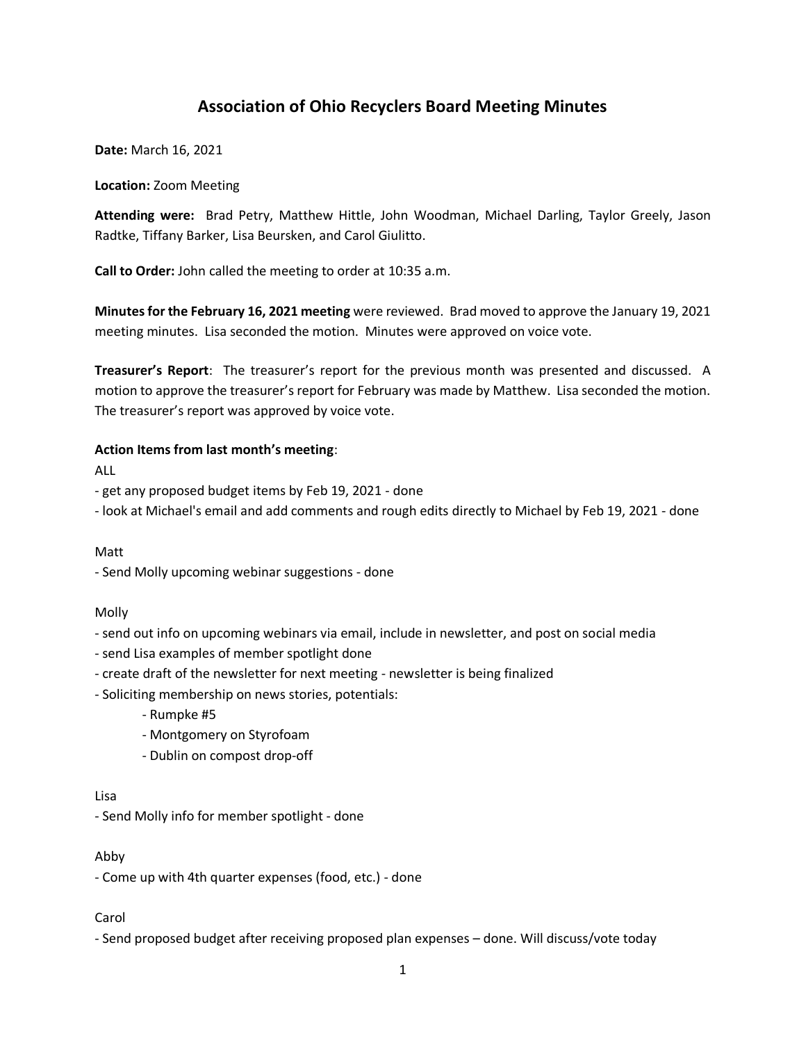# **Association of Ohio Recyclers Board Meeting Minutes**

**Date:** March 16, 2021

#### **Location:** Zoom Meeting

**Attending were:** Brad Petry, Matthew Hittle, John Woodman, Michael Darling, Taylor Greely, Jason Radtke, Tiffany Barker, Lisa Beursken, and Carol Giulitto.

**Call to Order:** John called the meeting to order at 10:35 a.m.

**Minutes for the February 16, 2021 meeting** were reviewed. Brad moved to approve the January 19, 2021 meeting minutes. Lisa seconded the motion. Minutes were approved on voice vote.

**Treasurer's Report**: The treasurer's report for the previous month was presented and discussed. A motion to approve the treasurer's report for February was made by Matthew. Lisa seconded the motion. The treasurer's report was approved by voice vote.

#### **Action Items from last month's meeting**:

ALL

- get any proposed budget items by Feb 19, 2021 - done

- look at Michael's email and add comments and rough edits directly to Michael by Feb 19, 2021 - done

Matt

- Send Molly upcoming webinar suggestions - done

Molly

- send out info on upcoming webinars via email, include in newsletter, and post on social media

- send Lisa examples of member spotlight done
- create draft of the newsletter for next meeting newsletter is being finalized

- Soliciting membership on news stories, potentials:

- Rumpke #5

- Montgomery on Styrofoam
- Dublin on compost drop-off

Lisa

- Send Molly info for member spotlight - done

Abby

- Come up with 4th quarter expenses (food, etc.) - done

Carol

- Send proposed budget after receiving proposed plan expenses – done. Will discuss/vote today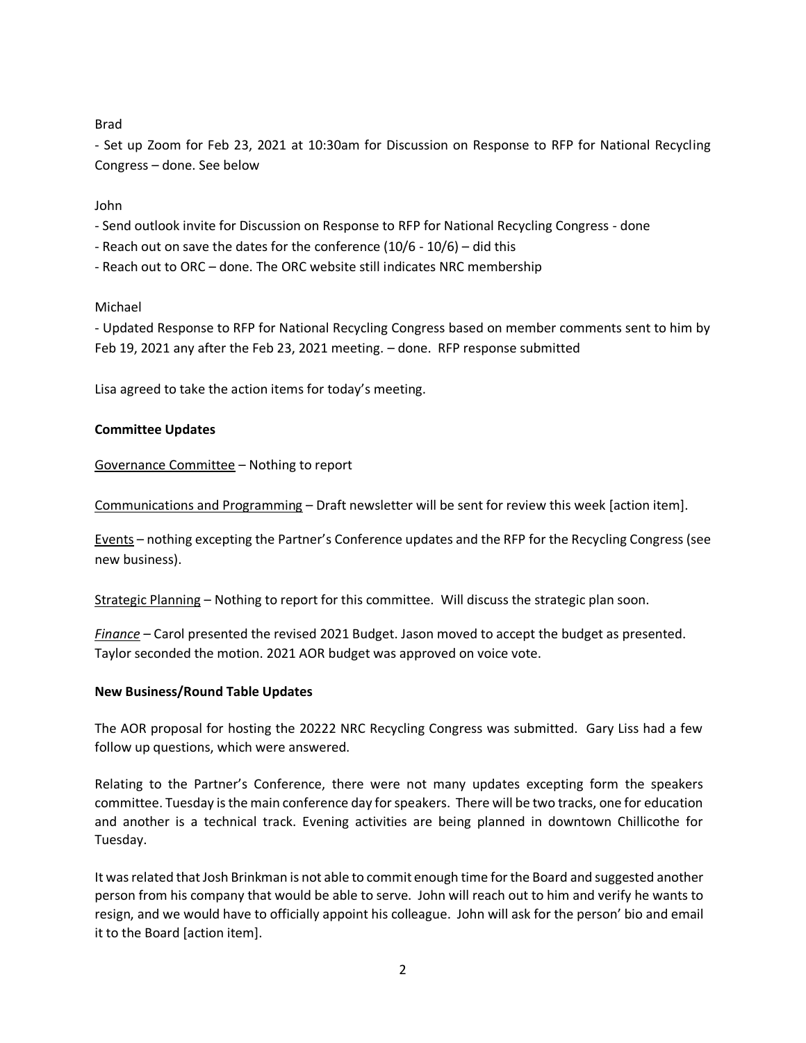Brad

- Set up Zoom for Feb 23, 2021 at 10:30am for Discussion on Response to RFP for National Recycling Congress – done. See below

John

- Send outlook invite for Discussion on Response to RFP for National Recycling Congress done
- Reach out on save the dates for the conference (10/6 10/6) did this
- Reach out to ORC done. The ORC website still indicates NRC membership

## Michael

- Updated Response to RFP for National Recycling Congress based on member comments sent to him by Feb 19, 2021 any after the Feb 23, 2021 meeting. – done. RFP response submitted

Lisa agreed to take the action items for today's meeting.

## **Committee Updates**

Governance Committee – Nothing to report

Communications and Programming – Draft newsletter will be sent for review this week [action item].

Events – nothing excepting the Partner's Conference updates and the RFP for the Recycling Congress (see new business).

Strategic Planning – Nothing to report for this committee. Will discuss the strategic plan soon.

*Finance –* Carol presented the revised 2021 Budget. Jason moved to accept the budget as presented. Taylor seconded the motion. 2021 AOR budget was approved on voice vote.

## **New Business/Round Table Updates**

The AOR proposal for hosting the 20222 NRC Recycling Congress was submitted. Gary Liss had a few follow up questions, which were answered.

Relating to the Partner's Conference, there were not many updates excepting form the speakers committee. Tuesday is the main conference day for speakers. There will be two tracks, one for education and another is a technical track. Evening activities are being planned in downtown Chillicothe for Tuesday.

It was related that Josh Brinkman is not able to commit enough time for the Board and suggested another person from his company that would be able to serve. John will reach out to him and verify he wants to resign, and we would have to officially appoint his colleague. John will ask for the person' bio and email it to the Board [action item].